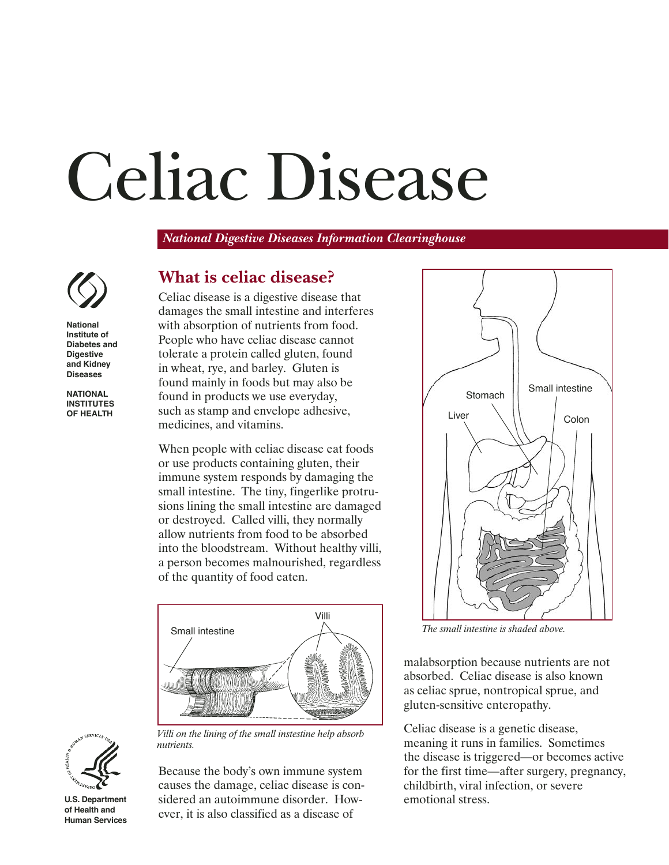# Celiac Disease

*National Digestive Diseases Information Clearinghouse*



**National Institute of Diabetes and Digestive and Kidney Diseases**

**NATIONAL INSTITUTES OF HEALTH**

# **What is celiac disease?**

Celiac disease is a digestive disease that damages the small intestine and interferes with absorption of nutrients from food. People who have celiac disease cannot tolerate a protein called gluten, found in wheat, rye, and barley. Gluten is found mainly in foods but may also be found in products we use everyday, such as stamp and envelope adhesive, medicines, and vitamins.

When people with celiac disease eat foods or use products containing gluten, their immune system responds by damaging the small intestine. The tiny, fingerlike protrusions lining the small intestine are damaged or destroyed. Called villi, they normally allow nutrients from food to be absorbed into the bloodstream. Without healthy villi, a person becomes malnourished, regardless of the quantity of food eaten.





*nutrients.*

**U.S. Department of Health and Human Services**

Because the body's own immune system causes the damage, celiac disease is considered an autoimmune disorder. However, it is also classified as a disease of



*The small intestine is shaded above.*

malabsorption because nutrients are not absorbed. Celiac disease is also known as celiac sprue, nontropical sprue, and gluten-sensitive enteropathy.

Celiac disease is a genetic disease, meaning it runs in families. Sometimes the disease is triggered—or becomes active for the first time—after surgery, pregnancy, childbirth, viral infection, or severe emotional stress.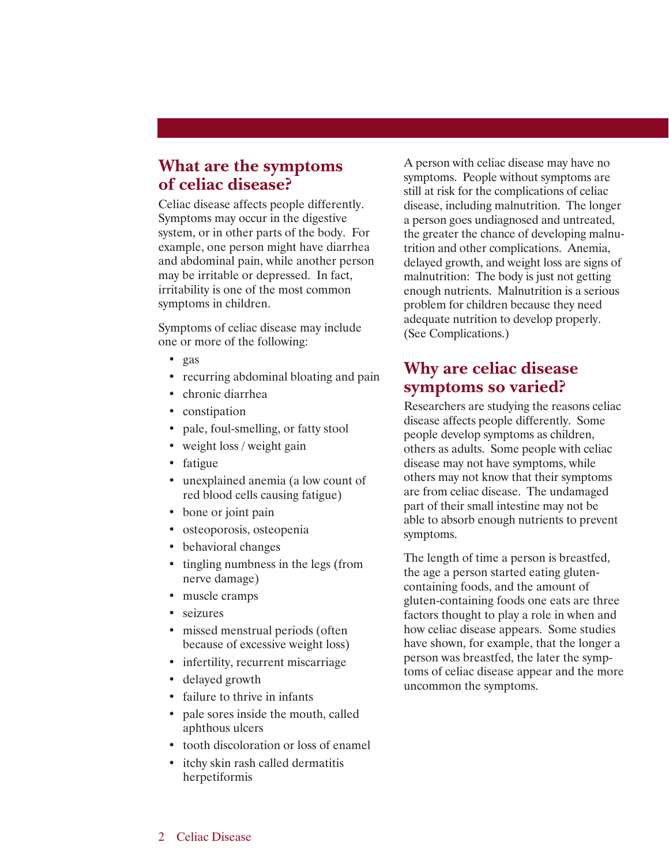#### **What are the symptoms of celiac disease?**

Celiac disease affects people differently. Symptoms may occur in the digestive system, or in other parts of the body. For example, one person might have diarrhea and abdominal pain, while another person may be irritable or depressed. In fact, irritability is one of the most common symptoms in children.

Symptoms of celiac disease may include one or more of the following:

- gas
- recurring abdominal bloating and pain
- chronic diarrhea
- constipation
- pale, foul-smelling, or fatty stool
- weight loss / weight gain
- fatigue
- unexplained anemia (a low count of red blood cells causing fatigue)
- bone or joint pain
- osteoporosis, osteopenia
- behavioral changes
- tingling numbness in the legs (from nerve damage)
- muscle cramps
- seizures
- missed menstrual periods (often because of excessive weight loss)
- infertility, recurrent miscarriage
- delayed growth
- failure to thrive in infants
- pale sores inside the mouth, called aphthous ulcers
- tooth discoloration or loss of enamel
- itchy skin rash called dermatitis herpetiformis

A person with celiac disease may have no symptoms. People without symptoms are still at risk for the complications of celiac disease, including malnutrition. The longer a person goes undiagnosed and untreated, the greater the chance of developing malnutrition and other complications. Anemia, delayed growth, and weight loss are signs of malnutrition: The body is just not getting enough nutrients. Malnutrition is a serious problem for children because they need adequate nutrition to develop properly. (See Complications.)

## **Why are celiac disease symptoms so varied?**

Researchers are studying the reasons celiac disease affects people differently. Some people develop symptoms as children, others as adults. Some people with celiac disease may not have symptoms, while others may not know that their symptoms are from celiac disease. The undamaged part of their small intestine may not be able to absorb enough nutrients to prevent symptoms.

The length of time a person is breastfed, the age a person started eating glutencontaining foods, and the amount of gluten-containing foods one eats are three factors thought to play a role in when and how celiac disease appears. Some studies have shown, for example, that the longer a person was breastfed, the later the symptoms of celiac disease appear and the more uncommon the symptoms.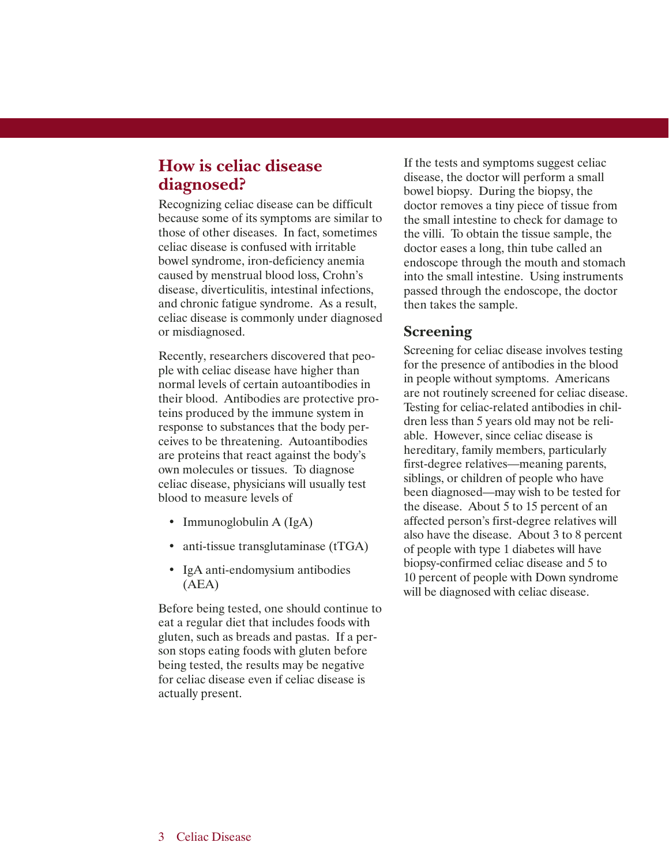#### **How is celiac disease diagnosed?**

Recognizing celiac disease can be difficult because some of its symptoms are similar to those of other diseases. In fact, sometimes celiac disease is confused with irritable bowel syndrome, iron-deficiency anemia caused by menstrual blood loss, Crohn's disease, diverticulitis, intestinal infections, and chronic fatigue syndrome. As a result, celiac disease is commonly under diagnosed or misdiagnosed.

Recently, researchers discovered that people with celiac disease have higher than normal levels of certain autoantibodies in their blood. Antibodies are protective proteins produced by the immune system in response to substances that the body perceives to be threatening. Autoantibodies are proteins that react against the body's own molecules or tissues. To diagnose celiac disease, physicians will usually test blood to measure levels of

- Immunoglobulin A (IgA)
- anti-tissue transglutaminase (tTGA)
- IgA anti-endomysium antibodies (AEA)

Before being tested, one should continue to eat a regular diet that includes foods with gluten, such as breads and pastas. If a person stops eating foods with gluten before being tested, the results may be negative for celiac disease even if celiac disease is actually present.

If the tests and symptoms suggest celiac disease, the doctor will perform a small bowel biopsy. During the biopsy, the doctor removes a tiny piece of tissue from the small intestine to check for damage to the villi. To obtain the tissue sample, the doctor eases a long, thin tube called an endoscope through the mouth and stomach into the small intestine. Using instruments passed through the endoscope, the doctor then takes the sample.

#### **Screening**

Screening for celiac disease involves testing for the presence of antibodies in the blood in people without symptoms. Americans are not routinely screened for celiac disease. Testing for celiac-related antibodies in children less than 5 years old may not be reliable. However, since celiac disease is hereditary, family members, particularly first-degree relatives—meaning parents, siblings, or children of people who have been diagnosed—may wish to be tested for the disease. About 5 to 15 percent of an affected person's first-degree relatives will also have the disease. About 3 to 8 percent of people with type 1 diabetes will have biopsy-confirmed celiac disease and 5 to 10 percent of people with Down syndrome will be diagnosed with celiac disease.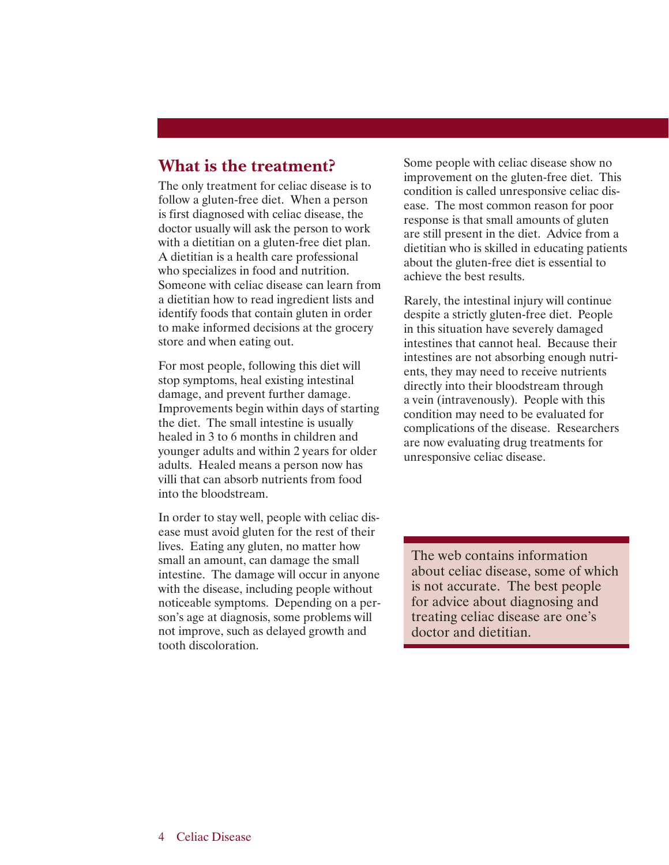#### **What is the treatment?**

The only treatment for celiac disease is to follow a gluten-free diet. When a person is first diagnosed with celiac disease, the doctor usually will ask the person to work with a dietitian on a gluten-free diet plan. A dietitian is a health care professional who specializes in food and nutrition. Someone with celiac disease can learn from a dietitian how to read ingredient lists and identify foods that contain gluten in order to make informed decisions at the grocery store and when eating out.

For most people, following this diet will stop symptoms, heal existing intestinal damage, and prevent further damage. Improvements begin within days of starting the diet. The small intestine is usually healed in 3 to 6 months in children and younger adults and within 2 years for older adults. Healed means a person now has villi that can absorb nutrients from food into the bloodstream.

In order to stay well, people with celiac disease must avoid gluten for the rest of their lives. Eating any gluten, no matter how small an amount, can damage the small intestine. The damage will occur in anyone with the disease, including people without noticeable symptoms. Depending on a person's age at diagnosis, some problems will not improve, such as delayed growth and tooth discoloration.

Some people with celiac disease show no improvement on the gluten-free diet. This condition is called unresponsive celiac disease. The most common reason for poor response is that small amounts of gluten are still present in the diet. Advice from a dietitian who is skilled in educating patients about the gluten-free diet is essential to achieve the best results.

Rarely, the intestinal injury will continue despite a strictly gluten-free diet. People in this situation have severely damaged intestines that cannot heal. Because their intestines are not absorbing enough nutrients, they may need to receive nutrients directly into their bloodstream through a vein (intravenously). People with this condition may need to be evaluated for complications of the disease. Researchers are now evaluating drug treatments for unresponsive celiac disease.

The web contains information about celiac disease, some of which is not accurate. The best people for advice about diagnosing and treating celiac disease are one's doctor and dietitian.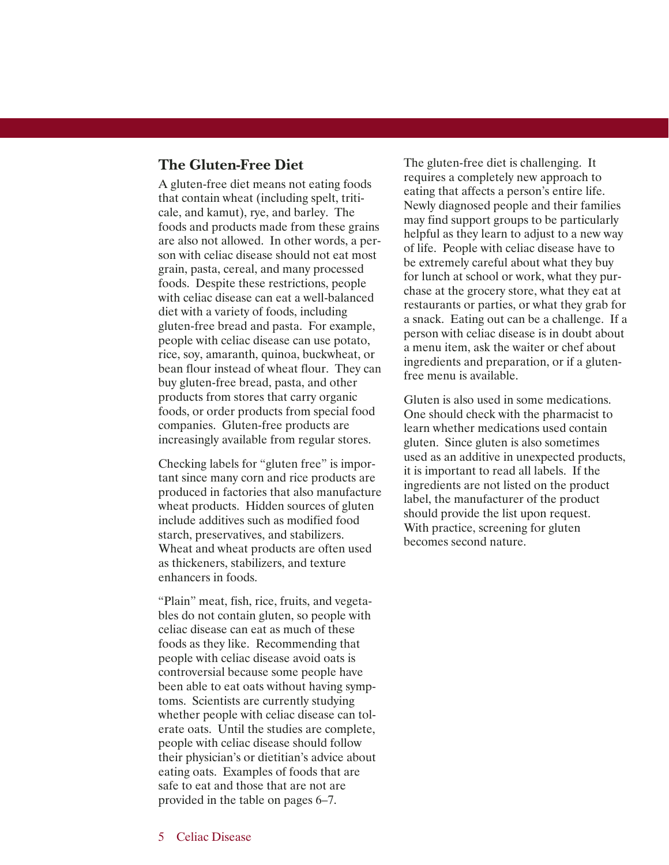#### **The Gluten-Free Diet**

A gluten-free diet means not eating foods that contain wheat (including spelt, triticale, and kamut), rye, and barley. The foods and products made from these grains are also not allowed. In other words, a person with celiac disease should not eat most grain, pasta, cereal, and many processed foods. Despite these restrictions, people with celiac disease can eat a well-balanced diet with a variety of foods, including gluten-free bread and pasta. For example, people with celiac disease can use potato, rice, soy, amaranth, quinoa, buckwheat, or bean flour instead of wheat flour. They can buy gluten-free bread, pasta, and other products from stores that carry organic foods, or order products from special food companies. Gluten-free products are increasingly available from regular stores.

Checking labels for "gluten free" is important since many corn and rice products are produced in factories that also manufacture wheat products. Hidden sources of gluten include additives such as modified food starch, preservatives, and stabilizers. Wheat and wheat products are often used as thickeners, stabilizers, and texture enhancers in foods.

"Plain" meat, fish, rice, fruits, and vegetables do not contain gluten, so people with celiac disease can eat as much of these foods as they like. Recommending that people with celiac disease avoid oats is controversial because some people have been able to eat oats without having symptoms. Scientists are currently studying whether people with celiac disease can tolerate oats. Until the studies are complete, people with celiac disease should follow their physician's or dietitian's advice about eating oats. Examples of foods that are safe to eat and those that are not are provided in the table on pages 6–7.

The gluten-free diet is challenging. It requires a completely new approach to eating that affects a person's entire life. Newly diagnosed people and their families may find support groups to be particularly helpful as they learn to adjust to a new way of life. People with celiac disease have to be extremely careful about what they buy for lunch at school or work, what they purchase at the grocery store, what they eat at restaurants or parties, or what they grab for a snack. Eating out can be a challenge. If a person with celiac disease is in doubt about a menu item, ask the waiter or chef about ingredients and preparation, or if a glutenfree menu is available.

Gluten is also used in some medications. One should check with the pharmacist to learn whether medications used contain gluten. Since gluten is also sometimes used as an additive in unexpected products, it is important to read all labels. If the ingredients are not listed on the product label, the manufacturer of the product should provide the list upon request. With practice, screening for gluten becomes second nature.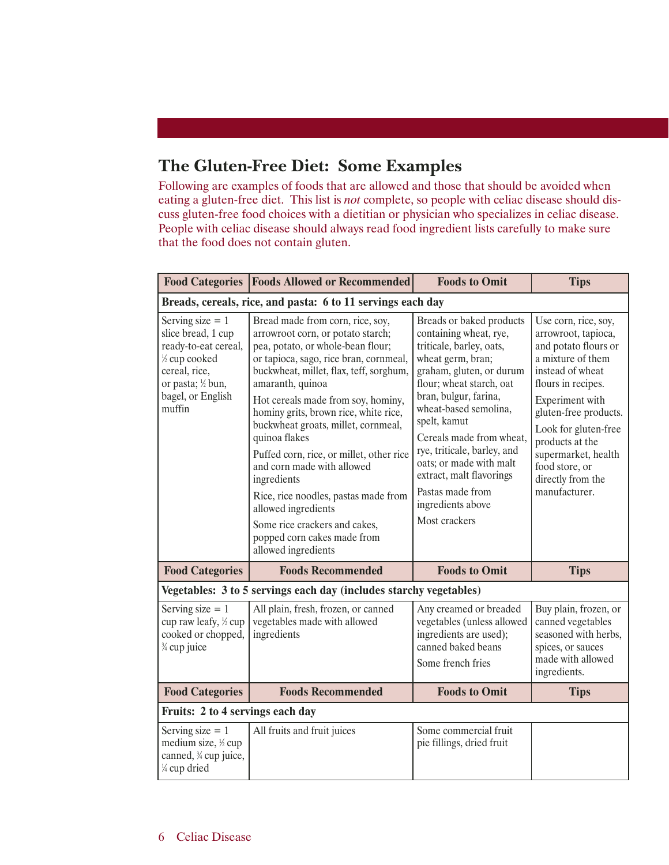## **The Gluten-Free Diet: Some Examples**

Following are examples of foods that are allowed and those that should be avoided when eating a gluten-free diet. This list is *not* complete, so people with celiac disease should discuss gluten-free food choices with a dietitian or physician who specializes in celiac disease. People with celiac disease should always read food ingredient lists carefully to make sure that the food does not contain gluten.

|                                                                                                                                                        | <b>Food Categories   Foods Allowed or Recommended  </b>                                                                                                                                                                                                                                                                                                                                                                                                                                                                                                                                                   | <b>Foods to Omit</b>                                                                                                                                                                                                                                                                                                                                                                                      | <b>Tips</b>                                                                                                                                                                                                                                                                                              |  |
|--------------------------------------------------------------------------------------------------------------------------------------------------------|-----------------------------------------------------------------------------------------------------------------------------------------------------------------------------------------------------------------------------------------------------------------------------------------------------------------------------------------------------------------------------------------------------------------------------------------------------------------------------------------------------------------------------------------------------------------------------------------------------------|-----------------------------------------------------------------------------------------------------------------------------------------------------------------------------------------------------------------------------------------------------------------------------------------------------------------------------------------------------------------------------------------------------------|----------------------------------------------------------------------------------------------------------------------------------------------------------------------------------------------------------------------------------------------------------------------------------------------------------|--|
| Breads, cereals, rice, and pasta: 6 to 11 servings each day                                                                                            |                                                                                                                                                                                                                                                                                                                                                                                                                                                                                                                                                                                                           |                                                                                                                                                                                                                                                                                                                                                                                                           |                                                                                                                                                                                                                                                                                                          |  |
| Serving size $= 1$<br>slice bread, 1 cup<br>ready-to-eat cereal,<br>1/2 cup cooked<br>cereal, rice,<br>or pasta; ½ bun,<br>bagel, or English<br>muffin | Bread made from corn, rice, soy,<br>arrowroot corn, or potato starch;<br>pea, potato, or whole-bean flour;<br>or tapioca, sago, rice bran, cornmeal,<br>buckwheat, millet, flax, teff, sorghum,<br>amaranth, quinoa<br>Hot cereals made from soy, hominy,<br>hominy grits, brown rice, white rice,<br>buckwheat groats, millet, cornmeal,<br>quinoa flakes<br>Puffed corn, rice, or millet, other rice<br>and corn made with allowed<br>ingredients<br>Rice, rice noodles, pastas made from<br>allowed ingredients<br>Some rice crackers and cakes,<br>popped corn cakes made from<br>allowed ingredients | Breads or baked products<br>containing wheat, rye,<br>triticale, barley, oats,<br>wheat germ, bran;<br>graham, gluten, or durum<br>flour; wheat starch, oat<br>bran, bulgur, farina,<br>wheat-based semolina,<br>spelt, kamut<br>Cereals made from wheat,<br>rye, triticale, barley, and<br>oats; or made with malt<br>extract, malt flavorings<br>Pastas made from<br>ingredients above<br>Most crackers | Use corn, rice, soy,<br>arrowroot, tapioca,<br>and potato flours or<br>a mixture of them<br>instead of wheat<br>flours in recipes.<br>Experiment with<br>gluten-free products.<br>Look for gluten-free<br>products at the<br>supermarket, health<br>food store, or<br>directly from the<br>manufacturer. |  |
| <b>Food Categories</b>                                                                                                                                 | <b>Foods Recommended</b>                                                                                                                                                                                                                                                                                                                                                                                                                                                                                                                                                                                  | <b>Foods to Omit</b>                                                                                                                                                                                                                                                                                                                                                                                      | <b>Tips</b>                                                                                                                                                                                                                                                                                              |  |
| Vegetables: 3 to 5 servings each day (includes starchy vegetables)                                                                                     |                                                                                                                                                                                                                                                                                                                                                                                                                                                                                                                                                                                                           |                                                                                                                                                                                                                                                                                                                                                                                                           |                                                                                                                                                                                                                                                                                                          |  |
| Serving size $= 1$<br>cup raw leafy, ½ cup<br>cooked or chopped,<br>3⁄4 cup juice                                                                      | All plain, fresh, frozen, or canned<br>vegetables made with allowed<br>ingredients                                                                                                                                                                                                                                                                                                                                                                                                                                                                                                                        | Any creamed or breaded<br>vegetables (unless allowed<br>ingredients are used);<br>canned baked beans<br>Some french fries                                                                                                                                                                                                                                                                                 | Buy plain, frozen, or<br>canned vegetables<br>seasoned with herbs,<br>spices, or sauces<br>made with allowed<br>ingredients.                                                                                                                                                                             |  |
| <b>Food Categories</b>                                                                                                                                 | <b>Foods Recommended</b>                                                                                                                                                                                                                                                                                                                                                                                                                                                                                                                                                                                  | <b>Foods to Omit</b>                                                                                                                                                                                                                                                                                                                                                                                      | <b>Tips</b>                                                                                                                                                                                                                                                                                              |  |
| Fruits: 2 to 4 servings each day                                                                                                                       |                                                                                                                                                                                                                                                                                                                                                                                                                                                                                                                                                                                                           |                                                                                                                                                                                                                                                                                                                                                                                                           |                                                                                                                                                                                                                                                                                                          |  |
| Serving size $= 1$<br>medium size, 1/2 cup<br>canned, <sup>3</sup> / <sub>4</sub> cup juice,<br>¼ cup dried                                            | All fruits and fruit juices                                                                                                                                                                                                                                                                                                                                                                                                                                                                                                                                                                               | Some commercial fruit<br>pie fillings, dried fruit                                                                                                                                                                                                                                                                                                                                                        |                                                                                                                                                                                                                                                                                                          |  |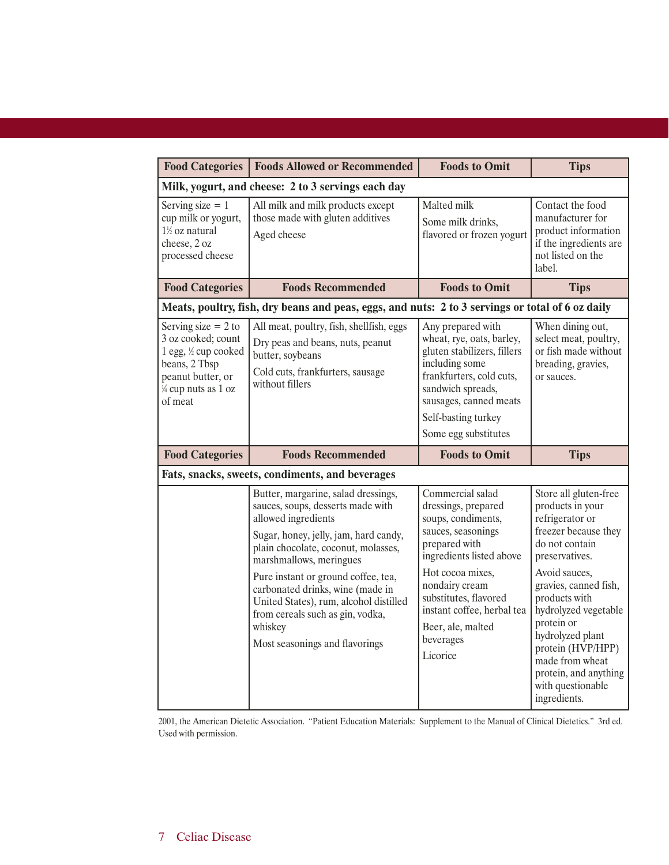| <b>Food Categories</b>                                                                                                                                | <b>Foods Allowed or Recommended</b>                                                                                                                                                                                                                                                                                                                                                                              | <b>Foods to Omit</b>                                                                                                                                                                                                                                                        | <b>Tips</b>                                                                                                                                                                                                                                                                                                                                         |  |
|-------------------------------------------------------------------------------------------------------------------------------------------------------|------------------------------------------------------------------------------------------------------------------------------------------------------------------------------------------------------------------------------------------------------------------------------------------------------------------------------------------------------------------------------------------------------------------|-----------------------------------------------------------------------------------------------------------------------------------------------------------------------------------------------------------------------------------------------------------------------------|-----------------------------------------------------------------------------------------------------------------------------------------------------------------------------------------------------------------------------------------------------------------------------------------------------------------------------------------------------|--|
| Milk, yogurt, and cheese: 2 to 3 servings each day                                                                                                    |                                                                                                                                                                                                                                                                                                                                                                                                                  |                                                                                                                                                                                                                                                                             |                                                                                                                                                                                                                                                                                                                                                     |  |
| Serving size $= 1$<br>cup milk or yogurt,<br>1½ oz natural<br>cheese, 2 oz<br>processed cheese                                                        | All milk and milk products except<br>those made with gluten additives<br>Aged cheese                                                                                                                                                                                                                                                                                                                             | Malted milk<br>Some milk drinks,<br>flavored or frozen yogurt                                                                                                                                                                                                               | Contact the food<br>manufacturer for<br>product information<br>if the ingredients are<br>not listed on the<br>label.                                                                                                                                                                                                                                |  |
| <b>Food Categories</b>                                                                                                                                | <b>Foods Recommended</b>                                                                                                                                                                                                                                                                                                                                                                                         | <b>Foods to Omit</b>                                                                                                                                                                                                                                                        | <b>Tips</b>                                                                                                                                                                                                                                                                                                                                         |  |
| Meats, poultry, fish, dry beans and peas, eggs, and nuts: 2 to 3 servings or total of 6 oz daily                                                      |                                                                                                                                                                                                                                                                                                                                                                                                                  |                                                                                                                                                                                                                                                                             |                                                                                                                                                                                                                                                                                                                                                     |  |
| Serving size $= 2$ to<br>3 oz cooked; count<br>1 egg, ½ cup cooked<br>beans, 2 Tbsp<br>peanut butter, or<br>$\frac{1}{4}$ cup nuts as 1 oz<br>of meat | All meat, poultry, fish, shellfish, eggs<br>Dry peas and beans, nuts, peanut<br>butter, soybeans<br>Cold cuts, frankfurters, sausage<br>without fillers                                                                                                                                                                                                                                                          | Any prepared with<br>wheat, rye, oats, barley,<br>gluten stabilizers, fillers<br>including some<br>frankfurters, cold cuts,<br>sandwich spreads,<br>sausages, canned meats<br>Self-basting turkey<br>Some egg substitutes                                                   | When dining out,<br>select meat, poultry,<br>or fish made without<br>breading, gravies,<br>or sauces.                                                                                                                                                                                                                                               |  |
| <b>Food Categories</b>                                                                                                                                | <b>Foods Recommended</b>                                                                                                                                                                                                                                                                                                                                                                                         | <b>Foods to Omit</b>                                                                                                                                                                                                                                                        | <b>Tips</b>                                                                                                                                                                                                                                                                                                                                         |  |
| Fats, snacks, sweets, condiments, and beverages                                                                                                       |                                                                                                                                                                                                                                                                                                                                                                                                                  |                                                                                                                                                                                                                                                                             |                                                                                                                                                                                                                                                                                                                                                     |  |
|                                                                                                                                                       | Butter, margarine, salad dressings,<br>sauces, soups, desserts made with<br>allowed ingredients<br>Sugar, honey, jelly, jam, hard candy,<br>plain chocolate, coconut, molasses,<br>marshmallows, meringues<br>Pure instant or ground coffee, tea,<br>carbonated drinks, wine (made in<br>United States), rum, alcohol distilled<br>from cereals such as gin, vodka,<br>whiskey<br>Most seasonings and flavorings | Commercial salad<br>dressings, prepared<br>soups, condiments,<br>sauces, seasonings<br>prepared with<br>ingredients listed above<br>Hot cocoa mixes,<br>nondairy cream<br>substitutes, flavored<br>instant coffee, herbal tea<br>Beer, ale, malted<br>beverages<br>Licorice | Store all gluten-free<br>products in your<br>refrigerator or<br>freezer because they<br>do not contain<br>preservatives.<br>Avoid sauces,<br>gravies, canned fish,<br>products with<br>hydrolyzed vegetable<br>protein or<br>hydrolyzed plant<br>protein (HVP/HPP)<br>made from wheat<br>protein, and anything<br>with questionable<br>ingredients. |  |

2001, the American Dietetic Association. "Patient Education Materials: Supplement to the Manual of Clinical Dietetics." 3rd ed. Used with permission.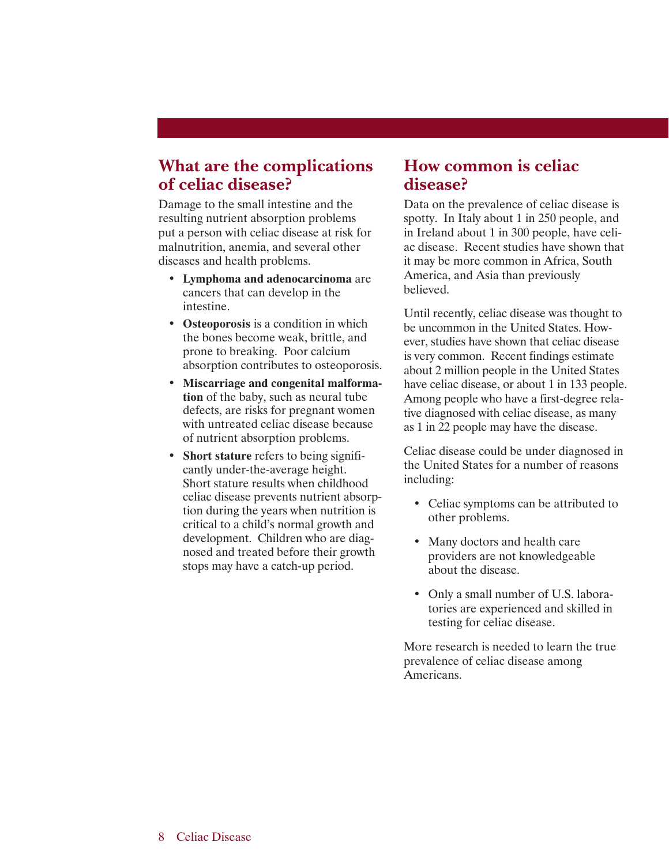#### **What are the complications of celiac disease?**

Damage to the small intestine and the resulting nutrient absorption problems put a person with celiac disease at risk for malnutrition, anemia, and several other diseases and health problems.

- **Lymphoma and adenocarcinoma** are cancers that can develop in the intestine.
- **Osteoporosis** is a condition in which the bones become weak, brittle, and prone to breaking. Poor calcium absorption contributes to osteoporosis.
- **Miscarriage and congenital malformation** of the baby, such as neural tube defects, are risks for pregnant women with untreated celiac disease because of nutrient absorption problems.
- **Short stature** refers to being significantly under-the-average height. Short stature results when childhood celiac disease prevents nutrient absorption during the years when nutrition is critical to a child's normal growth and development. Children who are diagnosed and treated before their growth stops may have a catch-up period.

#### **How common is celiac disease?**

Data on the prevalence of celiac disease is spotty. In Italy about 1 in 250 people, and in Ireland about 1 in 300 people, have celiac disease. Recent studies have shown that it may be more common in Africa, South America, and Asia than previously believed.

Until recently, celiac disease was thought to be uncommon in the United States. However, studies have shown that celiac disease is very common. Recent findings estimate about 2 million people in the United States have celiac disease, or about 1 in 133 people. Among people who have a first-degree relative diagnosed with celiac disease, as many as 1 in 22 people may have the disease.

Celiac disease could be under diagnosed in the United States for a number of reasons including:

- Celiac symptoms can be attributed to other problems.
- Many doctors and health care providers are not knowledgeable about the disease.
- Only a small number of U.S. laboratories are experienced and skilled in testing for celiac disease.

More research is needed to learn the true prevalence of celiac disease among Americans.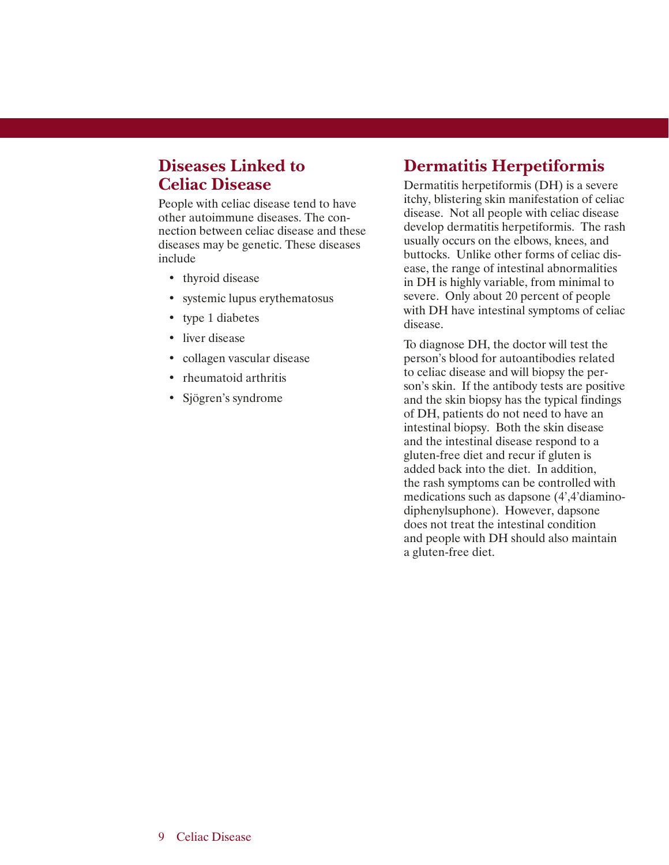## **Diseases Linked to Celiac Disease**

People with celiac disease tend to have other autoimmune diseases. The connection between celiac disease and these diseases may be genetic. These diseases include

- thyroid disease
- systemic lupus erythematosus
- type 1 diabetes
- liver disease
- collagen vascular disease
- rheumatoid arthritis
- Sjögren's syndrome

## **Dermatitis Herpetiformis**

Dermatitis herpetiformis (DH) is a severe itchy, blistering skin manifestation of celiac disease. Not all people with celiac disease develop dermatitis herpetiformis. The rash usually occurs on the elbows, knees, and buttocks. Unlike other forms of celiac disease, the range of intestinal abnormalities in DH is highly variable, from minimal to severe. Only about 20 percent of people with DH have intestinal symptoms of celiac disease.

To diagnose DH, the doctor will test the person's blood for autoantibodies related to celiac disease and will biopsy the person's skin. If the antibody tests are positive and the skin biopsy has the typical findings of DH, patients do not need to have an intestinal biopsy. Both the skin disease and the intestinal disease respond to a gluten-free diet and recur if gluten is added back into the diet. In addition, the rash symptoms can be controlled with medications such as dapsone (4',4'diaminodiphenylsuphone). However, dapsone does not treat the intestinal condition and people with DH should also maintain a gluten-free diet.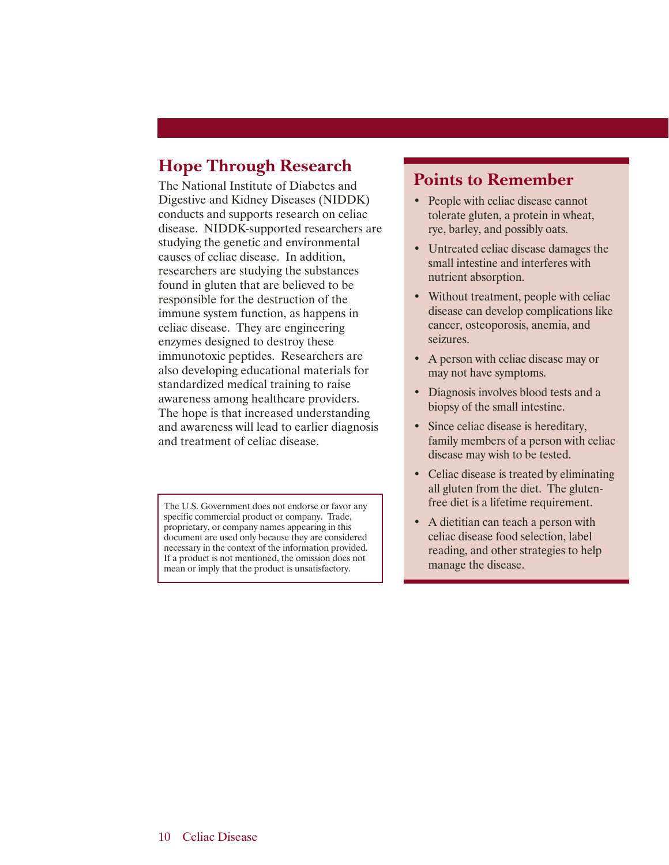## **Hope Through Research**

The National Institute of Diabetes and Digestive and Kidney Diseases (NIDDK) conducts and supports research on celiac disease. NIDDK-supported researchers are studying the genetic and environmental causes of celiac disease. In addition, researchers are studying the substances found in gluten that are believed to be responsible for the destruction of the immune system function, as happens in celiac disease. They are engineering enzymes designed to destroy these immunotoxic peptides. Researchers are also developing educational materials for standardized medical training to raise awareness among healthcare providers. The hope is that increased understanding and awareness will lead to earlier diagnosis and treatment of celiac disease.

The U.S. Government does not endorse or favor any specific commercial product or company. Trade, proprietary, or company names appearing in this document are used only because they are considered necessary in the context of the information provided. If a product is not mentioned, the omission does not mean or imply that the product is unsatisfactory.

#### **Points to Remember**

- People with celiac disease cannot tolerate gluten, a protein in wheat, rye, barley, and possibly oats.
- Untreated celiac disease damages the small intestine and interferes with nutrient absorption.
- Without treatment, people with celiac disease can develop complications like cancer, osteoporosis, anemia, and seizures.
- A person with celiac disease may or may not have symptoms.
- Diagnosis involves blood tests and a biopsy of the small intestine.
- Since celiac disease is hereditary, family members of a person with celiac disease may wish to be tested.
- Celiac disease is treated by eliminating all gluten from the diet. The glutenfree diet is a lifetime requirement.
- A dietitian can teach a person with celiac disease food selection, label reading, and other strategies to help manage the disease.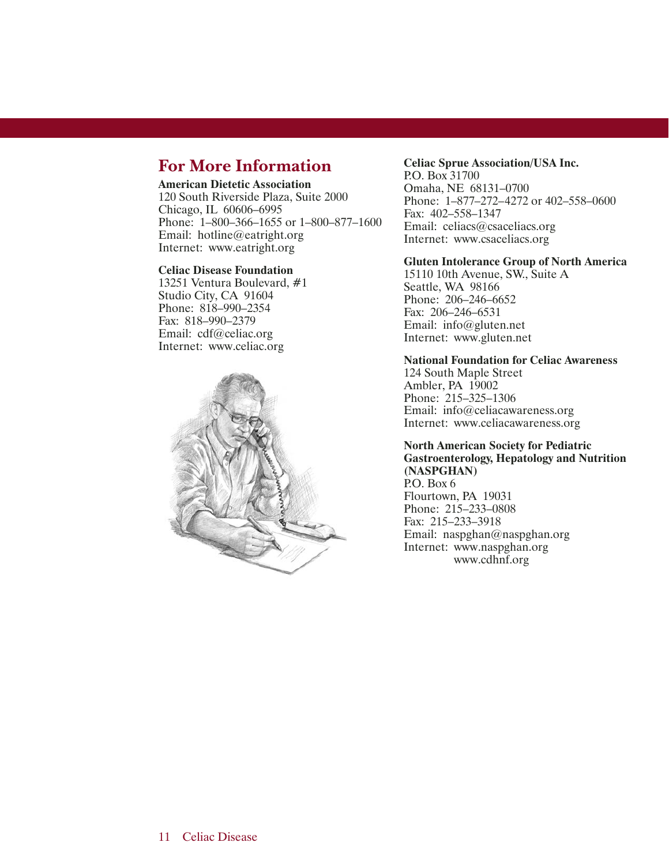## **For More Information**

#### **American Dietetic Association**

120 South Riverside Plaza, Suite 2000 Chicago, IL 60606–6995 Phone: 1–800–366–1655 or 1–800–877–1600 Email: hotline@eatright.org Internet: www.eatright.org

#### **Celiac Disease Foundation**

13251 Ventura Boulevard, #1 Studio City, CA 91604 Phone: 818–990–2354 Fax: 818–990–2379 Email: cdf@celiac.org Internet: www.celiac.org



#### **Celiac Sprue Association/USA Inc.**

P.O. Box 31700 Omaha, NE 68131–0700 Phone: 1–877–272–4272 or 402–558–0600 Fax: 402–558–1347 Email: celiacs@csaceliacs.org Internet: www.csaceliacs.org

#### **Gluten Intolerance Group of North America**

15110 10th Avenue, SW., Suite A Seattle, WA 98166 Phone: 206–246–6652 Fax: 206–246–6531 Email: info@gluten.net Internet: www.gluten.net

#### **National Foundation for Celiac Awareness**

124 South Maple Street Ambler, PA 19002 Phone: 215–325–1306 Email: info@celiacawareness.org Internet: www.celiacawareness.org

#### **North American Society for Pediatric Gastroenterology, Hepatology and Nutrition**

**(NASPGHAN)** P.O. Box 6 Flourtown, PA 19031 Phone: 215–233–0808 Fax: 215–233–3918 Email: naspghan@naspghan.org Internet: www.naspghan.org www.cdhnf.org